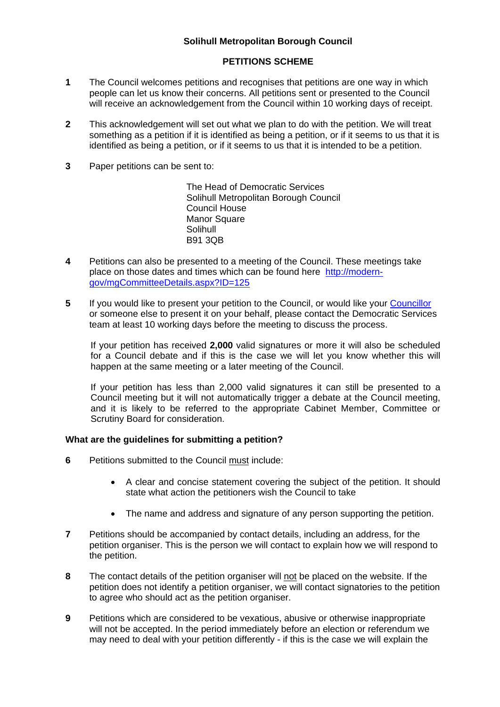# **Solihull Metropolitan Borough Council**

## **PETITIONS SCHEME**

- **1** The Council welcomes petitions and recognises that petitions are one way in which people can let us know their concerns. All petitions sent or presented to the Council will receive an acknowledgement from the Council within 10 working days of receipt.
- **2** This acknowledgement will set out what we plan to do with the petition. We will treat something as a petition if it is identified as being a petition, or if it seems to us that it is identified as being a petition, or if it seems to us that it is intended to be a petition.
- **3** Paper petitions can be sent to:

 The Head of Democratic Services Solihull Metropolitan Borough Council Council House Manor Square **Solihull** B91 3QB

- **4** Petitions can also be presented to a meeting of the Council. These meetings take place on those dates and times which can be found here [http://modern](http://modern-gov/mgCommitteeDetails.aspx?ID=125)[gov/mgCommitteeDetails.aspx?ID=125](http://modern-gov/mgCommitteeDetails.aspx?ID=125)
- **5** If you would like to present your petition to the Council, or would like your [Councillor](http://modern-gov/mgMemberIndex.aspx?bcr=1&$LO$=1) or someone else to present it on your behalf, please contact the Democratic Services team at least 10 working days before the meeting to discuss the process.

If your petition has received **2,000** valid signatures or more it will also be scheduled for a Council debate and if this is the case we will let you know whether this will happen at the same meeting or a later meeting of the Council.

If your petition has less than 2,000 valid signatures it can still be presented to a Council meeting but it will not automatically trigger a debate at the Council meeting, and it is likely to be referred to the appropriate Cabinet Member, Committee or Scrutiny Board for consideration.

#### **What are the guidelines for submitting a petition?**

- **6** Petitions submitted to the Council must include:
	- A clear and concise statement covering the subject of the petition. It should state what action the petitioners wish the Council to take
	- The name and address and signature of any person supporting the petition.
- **7** Petitions should be accompanied by contact details, including an address, for the petition organiser. This is the person we will contact to explain how we will respond to the petition.
- **8** The contact details of the petition organiser will not be placed on the website. If the petition does not identify a petition organiser, we will contact signatories to the petition to agree who should act as the petition organiser.
- **9** Petitions which are considered to be vexatious, abusive or otherwise inappropriate will not be accepted. In the period immediately before an election or referendum we may need to deal with your petition differently - if this is the case we will explain the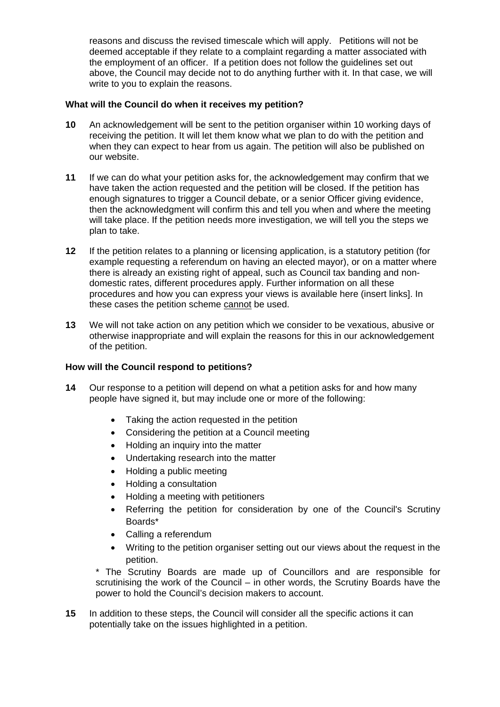reasons and discuss the revised timescale which will apply. Petitions will not be deemed acceptable if they relate to a complaint regarding a matter associated with the employment of an officer. If a petition does not follow the guidelines set out above, the Council may decide not to do anything further with it. In that case, we will write to you to explain the reasons.

### **What will the Council do when it receives my petition?**

- **10** An acknowledgement will be sent to the petition organiser within 10 working days of receiving the petition. It will let them know what we plan to do with the petition and when they can expect to hear from us again. The petition will also be published on our website.
- **11** If we can do what your petition asks for, the acknowledgement may confirm that we have taken the action requested and the petition will be closed. If the petition has enough signatures to trigger a Council debate, or a senior Officer giving evidence, then the acknowledgment will confirm this and tell you when and where the meeting will take place. If the petition needs more investigation, we will tell you the steps we plan to take.
- **12** If the petition relates to a planning or licensing application, is a statutory petition (for example requesting a referendum on having an elected mayor), or on a matter where there is already an existing right of appeal, such as Council tax banding and nondomestic rates, different procedures apply. Further information on all these procedures and how you can express your views is available here (insert links]. In these cases the petition scheme cannot be used.
- **13** We will not take action on any petition which we consider to be vexatious, abusive or otherwise inappropriate and will explain the reasons for this in our acknowledgement of the petition.

#### **How will the Council respond to petitions?**

- **14** Our response to a petition will depend on what a petition asks for and how many people have signed it, but may include one or more of the following:
	- Taking the action requested in the petition
	- Considering the petition at a Council meeting
	- Holding an inquiry into the matter
	- Undertaking research into the matter
	- Holding a public meeting
	- Holding a consultation
	- Holding a meeting with petitioners
	- Referring the petition for consideration by one of the Council's Scrutiny Boards\*
	- Calling a referendum
	- Writing to the petition organiser setting out our views about the request in the petition.

\* The Scrutiny Boards are made up of Councillors and are responsible for scrutinising the work of the Council – in other words, the Scrutiny Boards have the power to hold the Council's decision makers to account.

**15** In addition to these steps, the Council will consider all the specific actions it can potentially take on the issues highlighted in a petition.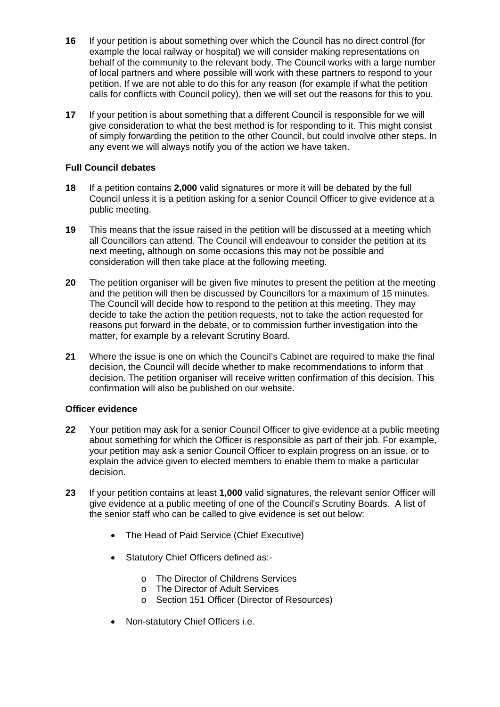- **16** If your petition is about something over which the Council has no direct control (for example the local railway or hospital) we will consider making representations on behalf of the community to the relevant body. The Council works with a large number of local partners and where possible will work with these partners to respond to your petition. If we are not able to do this for any reason (for example if what the petition calls for conflicts with Council policy), then we will set out the reasons for this to you.
- **17** If your petition is about something that a different Council is responsible for we will give consideration to what the best method is for responding to it. This might consist of simply forwarding the petition to the other Council, but could involve other steps. In any event we will always notify you of the action we have taken.

## **Full Council debates**

- **18** If a petition contains **2,000** valid signatures or more it will be debated by the full Council unless it is a petition asking for a senior Council Officer to give evidence at a public meeting.
- **19** This means that the issue raised in the petition will be discussed at a meeting which all Councillors can attend. The Council will endeavour to consider the petition at its next meeting, although on some occasions this may not be possible and consideration will then take place at the following meeting.
- **20** The petition organiser will be given five minutes to present the petition at the meeting and the petition will then be discussed by Councillors for a maximum of 15 minutes. The Council will decide how to respond to the petition at this meeting. They may decide to take the action the petition requests, not to take the action requested for reasons put forward in the debate, or to commission further investigation into the matter, for example by a relevant Scrutiny Board.
- **21** Where the issue is one on which the Council's Cabinet are required to make the final decision, the Council will decide whether to make recommendations to inform that decision. The petition organiser will receive written confirmation of this decision. This confirmation will also be published on our website.

#### **Officer evidence**

- **22** Your petition may ask for a senior Council Officer to give evidence at a public meeting about something for which the Officer is responsible as part of their job. For example, your petition may ask a senior Council Officer to explain progress on an issue, or to explain the advice given to elected members to enable them to make a particular decision.
- **23** If your petition contains at least **1,000** valid signatures, the relevant senior Officer will give evidence at a public meeting of one of the Council's Scrutiny Boards. A list of the senior staff who can be called to give evidence is set out below:
	- The Head of Paid Service (Chief Executive)
	- Statutory Chief Officers defined as:
		- o The Director of Childrens Services
		- o The Director of Adult Services
		- o Section 151 Officer (Director of Resources)
	- Non-statutory Chief Officers i.e.